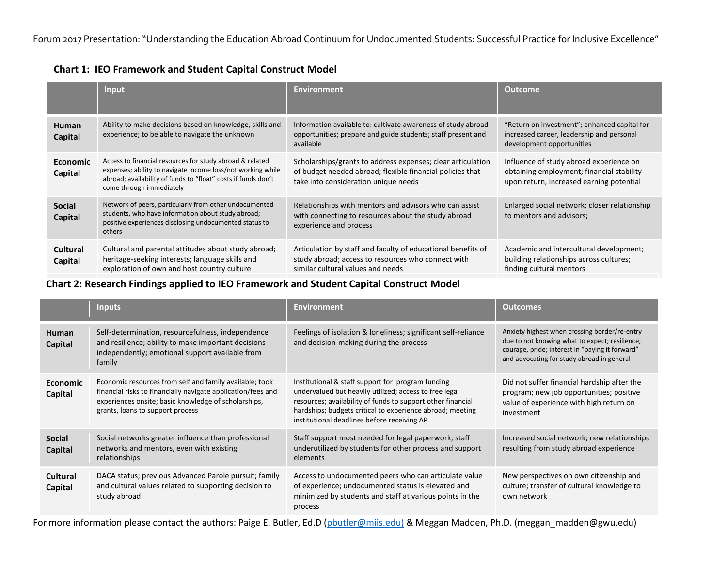|                            | Input                                                                                                                                                                                                                | <b>Environment</b>                                                                                                                                               | <b>Outcome</b>                                                                                                                   |
|----------------------------|----------------------------------------------------------------------------------------------------------------------------------------------------------------------------------------------------------------------|------------------------------------------------------------------------------------------------------------------------------------------------------------------|----------------------------------------------------------------------------------------------------------------------------------|
| <b>Human</b><br>Capital    | Ability to make decisions based on knowledge, skills and<br>experience; to be able to navigate the unknown                                                                                                           | Information available to: cultivate awareness of study abroad<br>opportunities; prepare and guide students; staff present and<br>available                       | "Return on investment"; enhanced capital for<br>increased career, leadership and personal<br>development opportunities           |
| <b>Economic</b><br>Capital | Access to financial resources for study abroad & related<br>expenses; ability to navigate income loss/not working while<br>abroad; availability of funds to "float" costs if funds don't<br>come through immediately | Scholarships/grants to address expenses; clear articulation<br>of budget needed abroad; flexible financial policies that<br>take into consideration unique needs | Influence of study abroad experience on<br>obtaining employment; financial stability<br>upon return, increased earning potential |
| <b>Social</b><br>Capital   | Network of peers, particularly from other undocumented<br>students, who have information about study abroad;<br>positive experiences disclosing undocumented status to<br>others                                     | Relationships with mentors and advisors who can assist<br>with connecting to resources about the study abroad<br>experience and process                          | Enlarged social network; closer relationship<br>to mentors and advisors;                                                         |
| Cultural<br>Capital        | Cultural and parental attitudes about study abroad;<br>heritage-seeking interests; language skills and<br>exploration of own and host country culture                                                                | Articulation by staff and faculty of educational benefits of<br>study abroad; access to resources who connect with<br>similar cultural values and needs          | Academic and intercultural development;<br>building relationships across cultures;<br>finding cultural mentors                   |

**Chart 1: IEO Framework and Student Capital Construct Model**

**Chart 2: Research Findings applied to IEO Framework and Student Capital Construct Model**

|                                 | <b>Inputs</b>                                                                                                                                                                                                       | <b>Environment</b>                                                                                                                                                                                                                                                                     | <b>Outcomes</b>                                                                                                                                                                                  |
|---------------------------------|---------------------------------------------------------------------------------------------------------------------------------------------------------------------------------------------------------------------|----------------------------------------------------------------------------------------------------------------------------------------------------------------------------------------------------------------------------------------------------------------------------------------|--------------------------------------------------------------------------------------------------------------------------------------------------------------------------------------------------|
| <b>Human</b><br>Capital         | Self-determination, resourcefulness, independence<br>and resilience; ability to make important decisions<br>independently; emotional support available from<br>family                                               | Feelings of isolation & loneliness; significant self-reliance<br>and decision-making during the process                                                                                                                                                                                | Anxiety highest when crossing border/re-entry<br>due to not knowing what to expect; resilience,<br>courage, pride; interest in "paying it forward"<br>and advocating for study abroad in general |
| <b>Economic</b><br>Capital      | Economic resources from self and family available; took<br>financial risks to financially navigate application/fees and<br>experiences onsite; basic knowledge of scholarships,<br>grants, loans to support process | Institutional & staff support for program funding<br>undervalued but heavily utilized; access to free legal<br>resources; availability of funds to support other financial<br>hardships; budgets critical to experience abroad; meeting<br>institutional deadlines before receiving AP | Did not suffer financial hardship after the<br>program; new job opportunities; positive<br>value of experience with high return on<br>investment                                                 |
| <b>Social</b><br><b>Capital</b> | Social networks greater influence than professional<br>networks and mentors, even with existing<br>relationships                                                                                                    | Staff support most needed for legal paperwork; staff<br>underutilized by students for other process and support<br>elements                                                                                                                                                            | Increased social network; new relationships<br>resulting from study abroad experience                                                                                                            |
| <b>Cultural</b><br>Capital      | DACA status; previous Advanced Parole pursuit; family<br>and cultural values related to supporting decision to<br>study abroad                                                                                      | Access to undocumented peers who can articulate value<br>of experience; undocumented status is elevated and<br>minimized by students and staff at various points in the<br>process                                                                                                     | New perspectives on own citizenship and<br>culture; transfer of cultural knowledge to<br>own network                                                                                             |

For more information please contact the authors: Paige E. Butler, Ed.D [\(pbutler@miis.edu\)](mailto:pbutler@miis.edu)) & Meggan Madden, Ph.D. (meggan\_madden@gwu.edu)